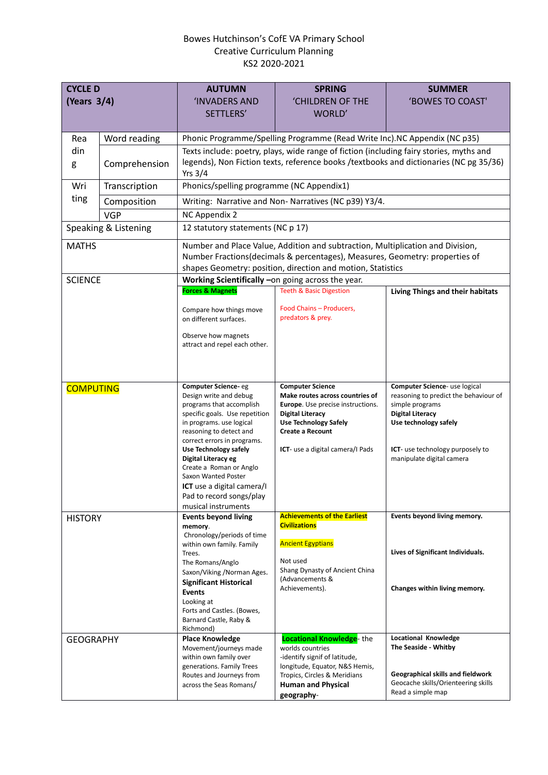## Bowes Hutchinson's CofE VA Primary School Creative Curriculum Planning KS2 2020-2021

| <b>CYCLE D</b>       |               | <b>AUTUMN</b>                                                                                                    | <b>SPRING</b>                                                                           | <b>SUMMER</b>                                                          |  |  |  |
|----------------------|---------------|------------------------------------------------------------------------------------------------------------------|-----------------------------------------------------------------------------------------|------------------------------------------------------------------------|--|--|--|
| (Years $3/4$ )       |               | <b>INVADERS AND</b>                                                                                              | <b>'CHILDREN OF THE</b>                                                                 | 'BOWES TO COAST'                                                       |  |  |  |
|                      |               | SETTLERS'                                                                                                        | WORLD'                                                                                  |                                                                        |  |  |  |
|                      |               |                                                                                                                  |                                                                                         |                                                                        |  |  |  |
| Rea                  | Word reading  | Phonic Programme/Spelling Programme (Read Write Inc).NC Appendix (NC p35)                                        |                                                                                         |                                                                        |  |  |  |
| din                  |               |                                                                                                                  | Texts include: poetry, plays, wide range of fiction (including fairy stories, myths and |                                                                        |  |  |  |
| g                    | Comprehension | legends), Non Fiction texts, reference books /textbooks and dictionaries (NC pg 35/36)<br>Yrs $3/4$              |                                                                                         |                                                                        |  |  |  |
| Wri                  | Transcription | Phonics/spelling programme (NC Appendix1)                                                                        |                                                                                         |                                                                        |  |  |  |
| ting                 | Composition   | Writing: Narrative and Non-Narratives (NC p39) Y3/4.                                                             |                                                                                         |                                                                        |  |  |  |
|                      | <b>VGP</b>    | NC Appendix 2                                                                                                    |                                                                                         |                                                                        |  |  |  |
| Speaking & Listening |               | 12 statutory statements (NC p 17)                                                                                |                                                                                         |                                                                        |  |  |  |
| <b>MATHS</b>         |               | Number and Place Value, Addition and subtraction, Multiplication and Division,                                   |                                                                                         |                                                                        |  |  |  |
|                      |               | Number Fractions(decimals & percentages), Measures, Geometry: properties of                                      |                                                                                         |                                                                        |  |  |  |
|                      |               | shapes Geometry: position, direction and motion, Statistics<br>Working Scientifically -on going across the year. |                                                                                         |                                                                        |  |  |  |
| <b>SCIENCE</b>       |               | <b>Forces &amp; Magnets</b>                                                                                      | <b>Teeth &amp; Basic Digestion</b>                                                      | Living Things and their habitats                                       |  |  |  |
|                      |               |                                                                                                                  |                                                                                         |                                                                        |  |  |  |
|                      |               | Compare how things move<br>on different surfaces.                                                                | Food Chains - Producers,<br>predators & prey.                                           |                                                                        |  |  |  |
|                      |               | Observe how magnets<br>attract and repel each other.                                                             |                                                                                         |                                                                        |  |  |  |
|                      |               |                                                                                                                  |                                                                                         |                                                                        |  |  |  |
|                      |               |                                                                                                                  |                                                                                         |                                                                        |  |  |  |
| <b>COMPUTING</b>     |               | Computer Science-eg<br>Design write and debug                                                                    | <b>Computer Science</b><br>Make routes across countries of                              | Computer Science- use logical<br>reasoning to predict the behaviour of |  |  |  |
|                      |               | programs that accomplish                                                                                         | <b>Europe.</b> Use precise instructions.                                                | simple programs                                                        |  |  |  |
|                      |               | specific goals. Use repetition<br>in programs. use logical                                                       | <b>Digital Literacy</b><br><b>Use Technology Safely</b>                                 | <b>Digital Literacy</b><br>Use technology safely                       |  |  |  |
|                      |               | reasoning to detect and                                                                                          | <b>Create a Recount</b>                                                                 |                                                                        |  |  |  |
|                      |               | correct errors in programs.<br>Use Technology safely                                                             | ICT- use a digital camera/I Pads                                                        | ICT- use technology purposely to                                       |  |  |  |
|                      |               | <b>Digital Literacy eg</b>                                                                                       |                                                                                         | manipulate digital camera                                              |  |  |  |
|                      |               | Create a Roman or Anglo<br>Saxon Wanted Poster                                                                   |                                                                                         |                                                                        |  |  |  |
|                      |               | ICT use a digital camera/I                                                                                       |                                                                                         |                                                                        |  |  |  |
|                      |               | Pad to record songs/play                                                                                         |                                                                                         |                                                                        |  |  |  |
|                      |               | musical instruments<br><b>Events beyond living</b>                                                               | <b>Achievements of the Earliest</b>                                                     | Events beyond living memory.                                           |  |  |  |
| <b>HISTORY</b>       |               | memory.                                                                                                          | <b>Civilizations</b>                                                                    |                                                                        |  |  |  |
|                      |               | Chronology/periods of time                                                                                       | <b>Ancient Egyptians</b>                                                                |                                                                        |  |  |  |
|                      |               | within own family. Family<br>Trees.                                                                              |                                                                                         | Lives of Significant Individuals.                                      |  |  |  |
|                      |               | The Romans/Anglo                                                                                                 | Not used                                                                                |                                                                        |  |  |  |
|                      |               | Saxon/Viking /Norman Ages.                                                                                       | Shang Dynasty of Ancient China<br>(Advancements &                                       |                                                                        |  |  |  |
|                      |               | <b>Significant Historical</b><br><b>Events</b>                                                                   | Achievements).                                                                          | Changes within living memory.                                          |  |  |  |
|                      |               | Looking at                                                                                                       |                                                                                         |                                                                        |  |  |  |
|                      |               | Forts and Castles. (Bowes,<br>Barnard Castle, Raby &                                                             |                                                                                         |                                                                        |  |  |  |
|                      |               | Richmond)                                                                                                        |                                                                                         |                                                                        |  |  |  |
| <b>GEOGRAPHY</b>     |               | <b>Place Knowledge</b>                                                                                           | <b>Locational Knowledge-</b> the<br>worlds countries                                    | <b>Locational Knowledge</b><br>The Seaside - Whitby                    |  |  |  |
|                      |               | Movement/journeys made<br>within own family over                                                                 | -identify signif of latitude,                                                           |                                                                        |  |  |  |
|                      |               | generations. Family Trees                                                                                        | longitude, Equator, N&S Hemis,                                                          | Geographical skills and fieldwork                                      |  |  |  |
|                      |               | Routes and Journeys from<br>across the Seas Romans/                                                              | Tropics, Circles & Meridians<br><b>Human and Physical</b>                               | Geocache skills/Orienteering skills                                    |  |  |  |
|                      |               |                                                                                                                  | geography-                                                                              | Read a simple map                                                      |  |  |  |